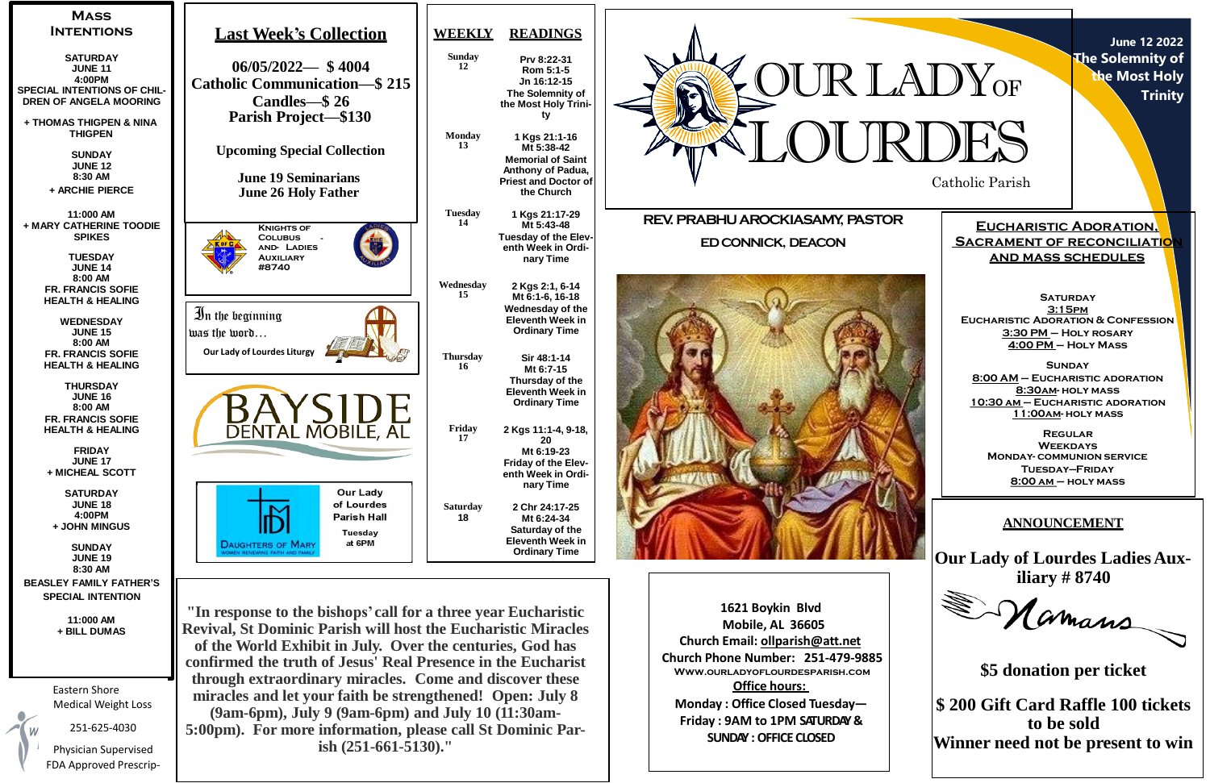

**June 12 2022 The Solemnity of the Most Holy Trinity**

**Eucharistic Adoration, Sacrament of reconciliation and mass schedules**

**SATURDAY 3:15pm Eucharistic Adoration & Confession 3:30 PM – Holy rosary 4:00 PM – Holy Mass**

**Sunday 8:00 AM – Eucharistic adoration 8:30am- holy mass 10:30 am – Eucharistic adoration 11:00am- holy mass**

**Regular Weekdays Monday- communion service Tuesday—Friday 8:00 am – holy mass**

| <b>MASS</b><br><b>INTENTIONS</b>                                                                                                    | <b>Last Week's Collection</b>                                                                                                                                                        | <b>WEEKLY</b>                    | <b>READINGS</b>                                                                                                                 |                                                                                             |                                                              |
|-------------------------------------------------------------------------------------------------------------------------------------|--------------------------------------------------------------------------------------------------------------------------------------------------------------------------------------|----------------------------------|---------------------------------------------------------------------------------------------------------------------------------|---------------------------------------------------------------------------------------------|--------------------------------------------------------------|
| <b>SATURDAY</b><br><b>JUNE 11</b><br>4:00PM<br>SPECIAL INTENTIONS OF CHIL-<br><b>DREN OF ANGELA MOORING</b>                         | $06/05/2022 - $4004$<br><b>Catholic Communication–\$215</b><br>Candles \ 26                                                                                                          | <b>Sunday</b><br>12              | Prv 8:22-31<br>Rom 5:1-5<br>Jn 16:12-15<br>The Solemnity of<br>the Most Holy Trini-                                             | OUR LADY <sub>OF</sub>                                                                      |                                                              |
| + THOMAS THIGPEN & NINA<br><b>THIGPEN</b><br><b>SUNDAY</b><br><b>JUNE 12</b><br>8:30 AM<br>+ ARCHIE PIERCE                          | <b>Parish Project—\$130</b><br><b>Upcoming Special Collection</b><br><b>June 19 Seminarians</b><br><b>June 26 Holy Father</b>                                                        | <b>Monday</b><br>13              | ty<br>1 Kgs 21:1-16<br>Mt 5:38-42<br><b>Memorial of Saint</b><br>Anthony of Padua,<br><b>Priest and Doctor of</b><br>the Church |                                                                                             | Catholic Parish                                              |
| 11:000 AM<br>+ MARY CATHERINE TOODIE<br><b>SPIKES</b><br><b>TUESDAY</b><br><b>JUNE 14</b>                                           | <b>KNIGHTS OF</b><br><b>COLUBUS</b><br><b>AND- LADIES</b><br><b>AUXILIARY</b><br>#8740                                                                                               | <b>Tuesday</b><br>14             | 1 Kgs 21:17-29<br>Mt 5:43-48<br>Tuesday of the Elev-<br>enth Week in Ordi-<br>nary Time                                         | REV. PRABHU AROCKIASAMY, PASTOR<br><b>ED CONNICK, DEACON</b>                                | <b>EUCHAF</b><br><u>SACRAMEN</u><br><u>AND M</u>             |
| 8:00 AM<br><b>FR. FRANCIS SOFIE</b><br><b>HEALTH &amp; HEALING</b><br><b>WEDNESDAY</b><br><b>JUNE 15</b><br>8:00 AM                 | In the beginning<br>was the word<br><b>Our Lady of Lourdes Liturgy</b>                                                                                                               | Wednesday<br>15                  | 2 Kgs 2:1, 6-14<br>Mt 6:1-6, 16-18<br><b>Wednesday of the</b><br><b>Eleventh Week in</b><br><b>Ordinary Time</b>                |                                                                                             | <b>EUCHARISTIC</b><br>3:30<br><u>4:00</u>                    |
| <b>FR. FRANCIS SOFIE</b><br><b>HEALTH &amp; HEALING</b><br><b>THURSDAY</b><br><b>JUNE 16</b><br>8:00 AM<br><b>FR. FRANCIS SOFIE</b> |                                                                                                                                                                                      | <b>Thursday</b><br>-16<br>Friday | Sir 48:1-14<br>Mt 6:7-15<br>Thursday of the<br><b>Eleventh Week in</b><br><b>Ordinary Time</b>                                  |                                                                                             | $8:00 AM -$<br><u>8:3</u><br><u>10:30 АМ</u> -<br><u>11:</u> |
| <b>HEALTH &amp; HEALING</b><br><b>FRIDAY</b><br><b>JUNE 17</b><br>+ MICHEAL SCOTT<br><b>SATURDAY</b>                                | DENTAL MOBILE, AL<br><b>Our Lady</b>                                                                                                                                                 |                                  | 2 Kgs 11:1-4, 9-18,<br>20<br>Mt 6:19-23<br><b>Friday of the Elev-</b><br>enth Week in Ordi-<br>nary Time                        |                                                                                             | <b>MONDAY</b><br>ΤI<br>8:0                                   |
| <b>JUNE 18</b><br>4:00PM<br>+ JOHN MINGUS<br><b>SUNDAY</b><br><b>JUNE 19</b>                                                        | of Lourdes<br><b>Parish Hall</b><br>Tuesday<br>at 6PM<br><b>DAUGHTERS OF MARY</b><br>MEN RENEWING FAITH AND FAMILY                                                                   | <b>Saturday</b><br>18            | 2 Chr 24:17-25<br>Mt 6:24-34<br>Saturday of the<br><b>Eleventh Week in</b><br><b>Ordinary Time</b>                              |                                                                                             | <u>ANN</u><br><b>Our Lady of</b>                             |
| 8:30 AM<br><b>BEASLEY FAMILY FATHER'S</b><br><b>SPECIAL INTENTION</b>                                                               |                                                                                                                                                                                      |                                  |                                                                                                                                 |                                                                                             | ili                                                          |
| 11:000 AM<br>+ BILL DUMAS                                                                                                           | "In response to the bishops' call for a three year Eucharistic<br><b>Revival, St Dominic Parish will host the Eucharistic Miracles</b>                                               |                                  |                                                                                                                                 | 1621 Boykin Blvd<br><b>Mobile, AL 36605</b><br>Church Email: ollparish@att.net              |                                                              |
| Eastern Shore                                                                                                                       | of the World Exhibit in July. Over the centuries, God has<br>confirmed the truth of Jesus' Real Presence in the Eucharist<br>through extraordinary miracles. Come and discover these |                                  |                                                                                                                                 | Church Phone Number: 251-479-9885<br>WWW.OURLADYOFLOURDESPARISH.COM<br><b>Office hours:</b> | \$5 don                                                      |
| <b>Medical Weight Loss</b><br>254.625.4020                                                                                          | miracles and let your faith be strengthened! Open: July 8<br>$(9am-6pm)$ , July 9 $(9am-6pm)$ and July 10 $(11:30am-6pm)$                                                            |                                  |                                                                                                                                 | Monday: Office Closed Tuesday-<br>Friday: 9AM to 1PM SATURDAY &                             | \$200 Gift Ca                                                |

**SUNDAY :OFFICE CLOSED**

251-625-4030

Physician Supervised FDA Approved Prescrip-

**(9am-6pm), July 9 (9am-6pm) and July 10 (11:30am-5:00pm). For more information, please call St Dominic Parish (251-661-5130)."**

## **ANNOUNCEMENT**

**Our Lady of Lourdes LadiesAux-**



**\$5 donation per ticket**

**\$ 200 Gift Card Raffle 100 tickets to be sold Winner need not be present to win**